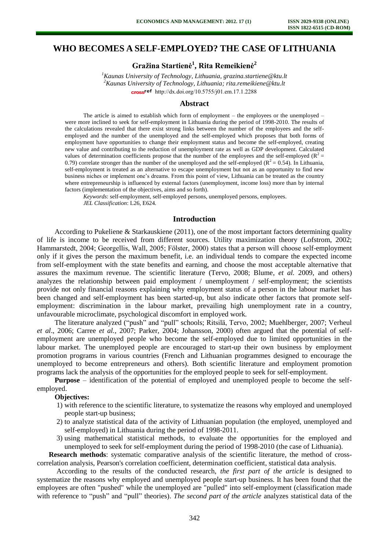# **WHO BECOMES A SELF-EMPLOYED? THE CASE OF LITHUANIA**

**Gražina Startienė<sup>1</sup> , Rita Remeikienė<sup>2</sup>**

*<sup>1</sup>Kaunas University of Technology, Lithuania, [grazina.startiene@ktu.lt](mailto:grazina.startiene@ktu.lt) <sup>2</sup>Kaunas University of Technology, Lithuania; rita.remeikiene@ktu.lt*  cross<sup>ref</sup> [http://dx.doi.org/10.5755/j01.e](http://dx.doi.org/10.5755/j01.em.17.1.2288)m.17.1.2288

#### **Abstract**

The article is aimed to establish which form of employment – the employees or the unemployed – were more inclined to seek for self-employment in Lithuania during the period of 1998-2010. The results of the calculations revealed that there exist strong links between the number of the employees and the selfemployed and the number of the unemployed and the self-employed which proposes that both forms of employment have opportunities to change their employment status and become the self-employed, creating new value and contributing to the reduction of unemployment rate as well as GDP development. Calculated values of determination coefficients propose that the number of the employees and the self-employed ( $R^2$  = 0.79) correlate stronger than the number of the unemployed and the self-employed ( $\mathbb{R}^2 = 0.54$ ). In Lithuania, self-employment is treated as an alternative to escape unemployment but not as an opportunity to find new business niches or implement one's dreams. From this point of view, Lithuania can be treated as the country where entrepreneurship is influenced by external factors (unemployment, income loss) more than by internal factors (implementation of the objectives, aims and so forth).

*Keywords*: self-employment, self-employed persons, unemployed persons, employees. *JEL Classification*: L26, E624.

### **Introduction**

According to Pukeliene & Starkauskiene (2011), one of the most important factors determining quality of life is income to be received from different sources. Utility maximization theory (Lofstrom, 2002; Hammarstedt, 2004; Georgellis, Wall, 2005; Fölster, 2000) states that a person will choose self-employment only if it gives the person the maximum benefit, i.e. an individual tends to compare the expected income from self-employment with the state benefits and earning, and choose the most acceptable alternative that assures the maximum revenue. The scientific literature (Tervo, 2008; Blume, *et al.* 2009, and others) analyzes the relationship between paid employment / unemployment / self-employment; the scientists provide not only financial reasons explaining why employment status of a person in the labour market has been changed and self-employment has been started-up, but also indicate other factors that promote selfemployment: discrimination in the labour market, prevailing high unemployment rate in a country, unfavourable microclimate, psychological discomfort in employed work.

The literature analyzed ("push" and "pull" schools; Ritsilä, Tervo, 2002; Muehlberger, 2007; Verheul *et al*., 2006; Carree *et al.,* 2007; Parker, 2004; Johansson, 2000) often argued that the potential of selfemployment are unemployed people who become the self-employed due to limited opportunities in the labour market. The unemployed people are encouraged to start-up their own business by employment promotion programs in various countries (French and Lithuanian programmes designed to encourage the unemployed to become entrepreneurs and others). Both scientific literature and employment promotion programs lack the analysis of the opportunities for the employed people to seek for self-employment.

**Purpose** – identification of the potential of employed and unemployed people to become the selfemployed.

**Objectives:** 

- 1) with reference to the scientific literature, to systematize the reasons why employed and unemployed people start-up business;
- 2) to analyze statistical data of the activity of Lithuanian population (the employed, unemployed and self-employed) in Lithuania during the period of 1998-2011.
- 3) using mathematical statistical methods, to evaluate the opportunities for the employed and unemployed to seek for self-employment during the period of 1998-2010 (the case of Lithuania).

**Research methods**: systematic comparative analysis of the scientific literature, the method of crosscorrelation analysis, Pearson's correlation coefficient, determination coefficient, statistical data analysis.

According to the results of the conducted research, *the first part of the article* is designed to systematize the reasons why employed and unemployed people start-up business. It has been found that the employees are often "pushed" while the unemployed are "pulled" into self-employment (classification made with reference to "push" and "pull" theories). *The second part of the article* analyzes statistical data of the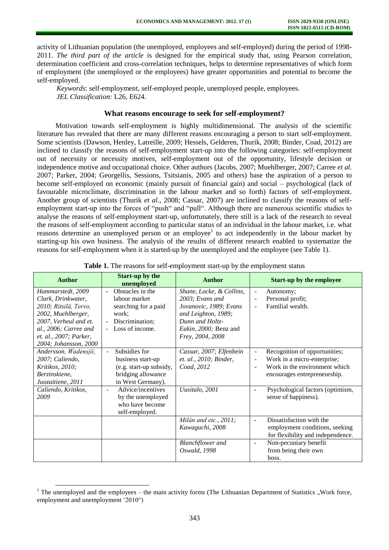activity of Lithuanian population (the unemployed, employees and self-employed) during the period of 1998- 2011. *The third part of the article* is designed for the empirical study that, using Pearson correlation, determination coefficient and cross-correlation techniques, helps to determine representatives of which form of employment (the unemployed or the employees) have greater opportunities and potential to become the self-employed.

*Keywords*: self-employment, self-employed people, unemployed people, employees. *JEL Classification:* L26, E624.

### **What reasons encourage to seek for self-employment?**

Motivation towards self-employment is highly multidimensional. The analysis of the scientific literature has revealed that there are many different reasons encouraging a person to start self-employment. Some scientists (Dawson, Henley, Latreille, 2009; Hessels, Gelderen, Thurik, 2008; Binder, Coad, 2012) are inclined to classify the reasons of self-employment start-up into the following categories: self-employment out of necessity or necessity motives, self-employment out of the opportunity, lifestyle decision or independence motive and occupational choice. Other authors (Jacobs, 2007; Muehlberger, 2007; Carree *et al.* 2007; Parker, 2004; Georgellis, Sessions, Tsitsianis, 2005 and others) base the aspiration of a person to become self-employed on economic (mainly pursuit of financial gain) and social – psychological (lack of favourable microclimate, discrimination in the labour market and so forth) factors of self-employment. Another group of scientists (Thurik *et al*., 2008; Cassar, 2007) are inclined to classify the reasons of selfemployment start-up into the forces of "push" and "pull". Although there are numerous scientific studies to analyse the reasons of self-employment start-up, unfortunately, there still is a lack of the research to reveal the reasons of self-employment according to particular status of an individual in the labour market, i.e. what reasons determine an unemployed person or an employee<sup>1</sup> to act independently in the labour market by starting-up his own business. The analysis of the results of different research enabled to systematize the reasons for self-employment when it is started-up by the unemployed and the employee (see Table 1).

| <b>Author</b>                                                                                                           | <b>Start-up by the</b><br>unemployed                                                                               | <b>Author</b>                                                                       | <b>Start-up by the employee</b>                                                                                                                                                                 |
|-------------------------------------------------------------------------------------------------------------------------|--------------------------------------------------------------------------------------------------------------------|-------------------------------------------------------------------------------------|-------------------------------------------------------------------------------------------------------------------------------------------------------------------------------------------------|
| Hammarstedt, 2009<br>Clark, Drinkwater,<br>2010; Ritsilä, Tervo,                                                        | Obstacles in the<br>$\sim$<br>labour market<br>searching for a paid                                                | Shane, Locke, & Collins,<br>2003; Evans and<br>Jovanovic, 1989; Evans               | Autonomy;<br>$\overline{\phantom{a}}$<br>Personal profit;<br>Familial wealth.                                                                                                                   |
| 2002, Muehlberger,<br>2007, Verheul and et.<br>al., 2006; Carree and<br>et. al., 2007; Parker,<br>2004; Johansson, 2000 | work:<br>Discrimination;<br>- Loss of income.                                                                      | and Leighton, 1989;<br>Dunn and Holtz-<br>Eakin, 2000; Benz and<br>Frey, 2004, 2008 |                                                                                                                                                                                                 |
| Andersson, Wadensjö,<br>2007; Caliendo,<br>Kritikos, 2010;<br>Berzinskiene,<br>Juozaitiene, 2011                        | Subsidies for<br>$\sim$<br>business start-up<br>(e.g. start-up subsidy,<br>bridging allowance<br>in West Germany). | Cassar, 2007; Elfenbein<br>et. al., 2010; Binder,<br>Coad, 2012                     | Recognition of opportunities;<br>$\overline{\phantom{a}}$<br>Work in a micro-enterprise;<br>$\overline{\phantom{a}}$<br>Work in the environment which<br>$\sim$<br>encourages entrepreneurship. |
| Caliendo, Kritikos,<br>2009                                                                                             | Advice/incentives<br>$\sim$<br>by the unemployed<br>who have become<br>self-employed.                              | Uusitalo, 2001                                                                      | Psychological factors (optimism,<br>$\overline{\phantom{a}}$<br>sense of happiness).                                                                                                            |
|                                                                                                                         |                                                                                                                    | Milán and etc., 2011;<br>Kawaguchi, 2008                                            | Dissatisfaction with the<br>÷.<br>employment conditions, seeking<br>for flexibility and independence.                                                                                           |
|                                                                                                                         |                                                                                                                    | <b>Blanchflower</b> and<br>Oswald, 1998                                             | Non-pecuniary benefit<br>$\overline{\phantom{a}}$<br>from being their own<br>boss.                                                                                                              |

|  |  |  | Table 1. The reasons for self-employment start-up by the employment status |
|--|--|--|----------------------------------------------------------------------------|
|--|--|--|----------------------------------------------------------------------------|

l

 $1$  The unemployed and the employees – the main activity forms (The Lithuanian Department of Statistics "Work force, employment and unemployment '2010")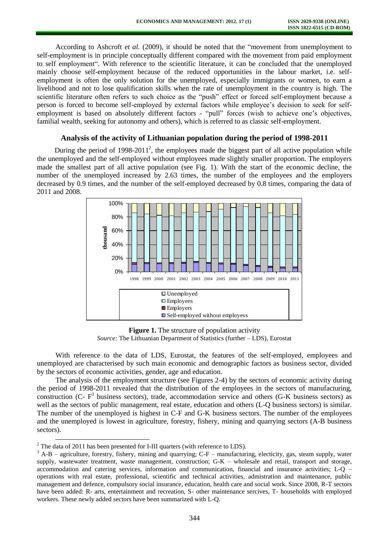According to Ashcroft *et al.* (2009), it should be noted that the "movement from unemployment to self-employment is in principle conceptually different compared with the movement from paid employment to self employment". With reference to the scientific literature, it can be concluded that the unemployed mainly choose self-employment because of the reduced opportunities in the labour market, i.e. selfemployment is often the only solution for the unemployed, especially immigrants or women, to earn a livelihood and not to lose qualification skills when the rate of unemployment in the country is high. The scientific literature often refers to such choice as the "push" effect or forced self-employment because a person is forced to become self-employed by external factors while employee's decision to seek for selfemployment is based on absolutely different factors - "pull" forces (wish to achieve one's objectives, familial wealth, seeking for autonomy and others), which is referred to as classic self-employment.

#### **Analysis of the activity of Lithuanian population during the period of 1998-2011**

During the period of  $1998-2011^2$ , the employees made the biggest part of all active population while the unemployed and the self-employed without employees made slightly smaller proportion. The employers made the smallest part of all active population (see Fig. 1). With the start of the economic decline, the number of the unemployed increased by 2.63 times, the number of the employees and the employers decreased by 0.9 times, and the number of the self-employed decreased by 0.8 times, comparing the data of 2011 and 2008.



**Figure 1.** The structure of population activity *Source:* The Lithuanian Department of Statistics (further – LDS), Eurostat

With reference to the data of LDS, Eurostat, the features of the self-employed, employees and unemployed are characterised by such main economic and demographic factors as business sector, divided by the sectors of economic activities, gender, age and education.

The analysis of the employment structure (see Figures 2-4) by the sectors of economic activity during the period of 1998-2011 revealed that the distribution of the employees in the sectors of manufacturing, construction (C- $F<sup>3</sup>$  business sectors), trade, accommodation service and others (G-K business sectors) as well as the sectors of public management, real estate, education and others (L-Q business sectors) is similar. The number of the unemployed is highest in C-F and G-K business sectors. The number of the employees and the unemployed is lowest in agriculture, forestry, fishery, mining and quarrying sectors (A-B business sectors).

 $\overline{a}$ 

 $2$ <sup>2</sup> The data of 2011 has been presented for I-III quarters (with reference to LDS).

<sup>&</sup>lt;sup>3</sup> A-B – agriculture, forestry, fishery, mining and quarrying; C-F – manufacturing, electicity, gas, steam supply, water supply, wastewater treatment, waste management, construction; G-K – wholesale and retail, transport and storage, accommodation and catering services, information and communication, financial and insurance activities; L-Q – operations with real estate, professional, scientific and technical activities, admistration and maintenance, public management and defence, compulsory social insurance, education, health care and social work. Since 2008, R-T sectors have been added: R- arts, entertainment and recreation, S- other maintenance sercives, T- households with employed workers. These newly added sectors have been summarized with L-Q.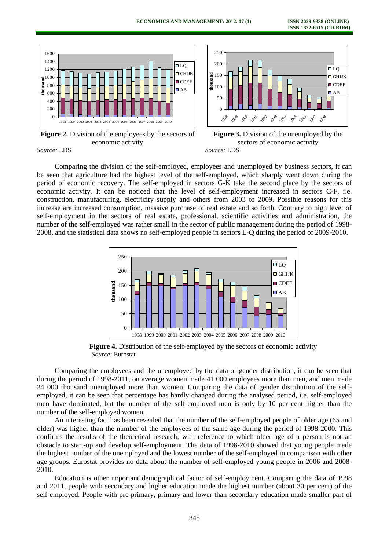

**Figure 2.** Division of the employees by the sectors of economic activity



**Figure 3.** Division of the unemployed by the sectors of economic activity *Source:* LDS

*Source:* LDS

Comparing the division of the self-employed, employees and unemployed by business sectors, it can be seen that agriculture had the highest level of the self-employed, which sharply went down during the period of economic recovery. The self-employed in sectors G-K take the second place by the sectors of economic activity. It can be noticed that the level of self-employment increased in sectors C-F, i.e. construction, manufacturing, electricity supply and others from 2003 to 2009. Possible reasons for this increase are increased consumption, massive purchase of real estate and so forth. Contrary to high level of self-employment in the sectors of real estate, professional, scientific activities and administration, the number of the self-employed was rather small in the sector of public management during the period of 1998- 2008, and the statistical data shows no self-employed people in sectors L-Q during the period of 2009-2010.



**Figure 4.** Distribution of the self-employed by the sectors of economic activity *Source:* Eurostat

Comparing the employees and the unemployed by the data of gender distribution, it can be seen that during the period of 1998-2011, on average women made 41 000 employees more than men, and men made 24 000 thousand unemployed more than women. Comparing the data of gender distribution of the selfemployed, it can be seen that percentage has hardly changed during the analysed period, i.e. self-employed men have dominated, but the number of the self-employed men is only by 10 per cent higher than the number of the self-employed women.

An interesting fact has been revealed that the number of the self-employed people of older age (65 and older) was higher than the number of the employees of the same age during the period of 1998-2000. This confirms the results of the theoretical research, with reference to which older age of a person is not an obstacle to start-up and develop self-employment. The data of 1998-2010 showed that young people made the highest number of the unemployed and the lowest number of the self-employed in comparison with other age groups. Eurostat provides no data about the number of self-employed young people in 2006 and 2008- 2010.

Education is other important demographical factor of self-employment. Comparing the data of 1998 and 2011, people with secondary and higher education made the highest number (about 30 per cent) of the self-employed. People with pre-primary, primary and lower than secondary education made smaller part of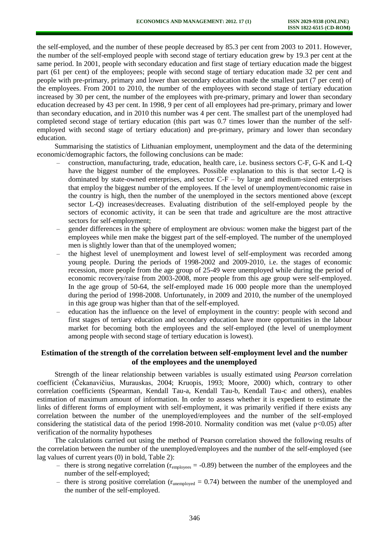the self-employed, and the number of these people decreased by 85.3 per cent from 2003 to 2011. However, the number of the self-employed people with second stage of tertiary education grew by 19.3 per cent at the same period. In 2001, people with secondary education and first stage of tertiary education made the biggest part (61 per cent) of the employees; people with second stage of tertiary education made 32 per cent and people with pre-primary, primary and lower than secondary education made the smallest part (7 per cent) of the employees. From 2001 to 2010, the number of the employees with second stage of tertiary education increased by 30 per cent, the number of the employees with pre-primary, primary and lower than secondary education decreased by 43 per cent. In 1998, 9 per cent of all employees had pre-primary, primary and lower than secondary education, and in 2010 this number was 4 per cent. The smallest part of the unemployed had completed second stage of tertiary education (this part was 0.7 times lower than the number of the selfemployed with second stage of tertiary education) and pre-primary, primary and lower than secondary education.

Summarising the statistics of Lithuanian employment, unemployment and the data of the determining economic/demographic factors, the following conclusions can be made:

- construction, manufacturing, trade, education, health care, i.e. business sectors C-F, G-K and L-Q have the biggest number of the employees. Possible explanation to this is that sector L-Q is dominated by state-owned enterprises, and sector C-F – by large and medium-sized enterprises that employ the biggest number of the employees. If the level of unemployment/economic raise in the country is high, then the number of the unemployed in the sectors mentioned above (except sector L-Q) increases/decreases. Evaluating distribution of the self-employed people by the sectors of economic activity, it can be seen that trade and agriculture are the most attractive sectors for self-employment;
- gender differences in the sphere of employment are obvious: women make the biggest part of the employees while men make the biggest part of the self-employed. The number of the unemployed men is slightly lower than that of the unemployed women;
- the highest level of unemployment and lowest level of self-employment was recorded among young people. During the periods of 1998-2002 and 2009-2010, i.e. the stages of economic recession, more people from the age group of 25-49 were unemployed while during the period of economic recovery/raise from 2003-2008, more people from this age group were self-employed. In the age group of 50-64, the self-employed made 16 000 people more than the unemployed during the period of 1998-2008. Unfortunately, in 2009 and 2010, the number of the unemployed in this age group was higher than that of the self-employed.
- education has the influence on the level of employment in the country: people with second and first stages of tertiary education and secondary education have more opportunities in the labour market for becoming both the employees and the self-employed (the level of unemployment among people with second stage of tertiary education is lowest).

## **Estimation of the strength of the correlation between self-employment level and the number of the employees and the unemployed**

Strength of the linear relationship between variables is usually estimated using *Pearson* correlation coefficient (Čekanavičius, Murauskas, 2004; Kruopis, 1993; Moore, 2000) which, contrary to other correlation coefficients (Spearman, Kendall Tau-a, Kendall Tau-b, Kendall Tau-c and others), enables estimation of maximum amount of information. In order to assess whether it is expedient to estimate the links of different forms of employment with self-employment, it was primarily verified if there exists any correlation between the number of the unemployed/employees and the number of the self-employed considering the statistical data of the period 1998-2010. Normality condition was met (value  $p<0.05$ ) after verification of the normality hypotheses

The calculations carried out using the method of Pearson correlation showed the following results of the correlation between the number of the unemployed/employees and the number of the self-employed (see lag values of current years (0) in bold, Table 2):

- there is strong negative correlation ( $r_{\text{emploves}} = -0.89$ ) between the number of the employees and the number of the self-employed;
- there is strong positive correlation ( $r_{\text{unemployed}} = 0.74$ ) between the number of the unemployed and the number of the self-employed.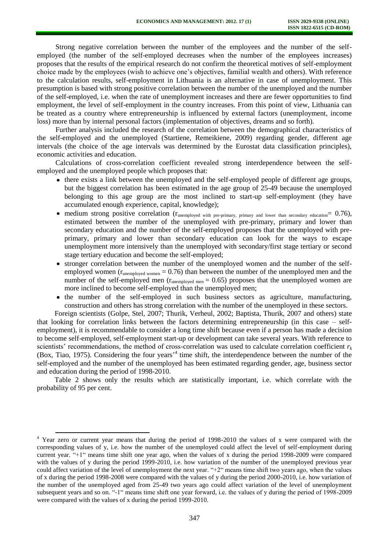Strong negative correlation between the number of the employees and the number of the selfemployed (the number of the self-employed decreases when the number of the employees increases) proposes that the results of the empirical research do not confirm the theoretical motives of self-employment choice made by the employees (wish to achieve one's objectives, familial wealth and others). With reference to the calculation results, self-employment in Lithuania is an alternative in case of unemployment. This presumption is based with strong positive correlation between the number of the unemployed and the number of the self-employed, i.e. when the rate of unemployment increases and there are fewer opportunities to find employment, the level of self-employment in the country increases. From this point of view, Lithuania can be treated as a country where entrepreneurship is influenced by external factors (unemployment, income loss) more than by internal personal factors (implementation of objectives, dreams and so forth).

Further analysis included the research of the correlation between the demographical characteristics of the self-employed and the unemployed (Startiene, Remeikiene, 2009) regarding gender, different age intervals (the choice of the age intervals was determined by the Eurostat data classification principles), economic activities and education.

Calculations of cross-correlation coefficient revealed strong interdependence between the selfemployed and the unemployed people which proposes that:

- there exists a link between the unemployed and the self-employed people of different age groups, but the biggest correlation has been estimated in the age group of 25-49 because the unemployed belonging to this age group are the most inclined to start-up self-employment (they have accumulated enough experience, capital, knowledge);
- medium strong positive correlation (r<sub>unemployed with pre-primary, primary and lower than secondary education</sub>= 0.76), estimated between the number of the unemployed with pre-primary, primary and lower than secondary education and the number of the self-employed proposes that the unemployed with preprimary, primary and lower than secondary education can look for the ways to escape unemployment more intensively than the unemployed with secondary/first stage tertiary or second stage tertiary education and become the self-employed;
- stronger correlation between the number of the unemployed women and the number of the selfemployed women  $(r_{unemployed women} = 0.76)$  than between the number of the unemployed men and the number of the self-employed men ( $r_{unemployed men} = 0.65$ ) proposes that the unemployed women are more inclined to become self-employed than the unemployed men;
- the number of the self-employed in such business sectors as agriculture, manufacturing, construction and others has strong correlation with the number of the unemployed in these sectors.

Foreign scientists (Golpe, Stel, 2007; Thurik, Verheul, 2002; Baptista, Thurik, 2007 and others) state that looking for correlation links between the factors determining entrepreneurship (in this case – selfemployment), it is recommendable to consider a long time shift because even if a person has made a decision to become self-employed, self-employment start-up or development can take several years. With reference to scientists' recommendations, the method of cross-correlation was used to calculate correlation coefficient  $r_k$ (Box, Tiao, 1975). Considering the four years<sup>14</sup> time shift, the interdependence between the number of the self-employed and the number of the unemployed has been estimated regarding gender, age, business sector and education during the period of 1998-2010.

Table 2 shows only the results which are statistically important, i.e. which correlate with the probability of 95 per cent.

l

<sup>&</sup>lt;sup>4</sup> Year zero or current year means that during the period of 1998-2010 the values of x were compared with the corresponding values of y, i.e. how the number of the unemployed could affect the level of self-employment during current year. "+1" means time shift one year ago, when the values of x during the period 1998-2009 were compared with the values of y during the period 1999-2010, i.e. how variation of the number of the unemployed previous year could affect variation of the level of unemployment the next year. "+2" means time shift two years ago, when the values of x during the period 1998-2008 were compared with the values of y during the period 2000-2010, i.e. how variation of the number of the unemployed aged from 25-49 two years ago could affect variation of the level of unemployment subsequent years and so on. "-1" means time shift one year forward, i.e. the values of y during the period of 1998-2009 were compared with the values of x during the period 1999-2010.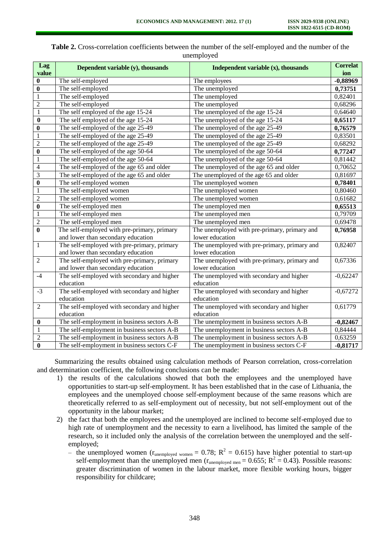|                         | $\mathbf{u}$ nchipio $\mathbf{v}$           |                                              |                 |  |  |  |  |
|-------------------------|---------------------------------------------|----------------------------------------------|-----------------|--|--|--|--|
| Lag                     | Dependent variable (y), thousands           | Independent variable $(x)$ , thousands       | <b>Correlat</b> |  |  |  |  |
| value                   |                                             |                                              | ion             |  |  |  |  |
| $\boldsymbol{0}$        | The self-employed                           | The employees                                | $-0,88969$      |  |  |  |  |
| $\bf{0}$                | The self-employed                           | The unemployed                               | 0,73751         |  |  |  |  |
| $\mathbf{1}$            | The self-employed                           | The unemployed                               | 0,82401         |  |  |  |  |
| $\overline{c}$          | The self-employed                           | The unemployed                               | 0,68296         |  |  |  |  |
| $\,1$                   | The self employed of the age 15-24          | The unemployed of the age 15-24              | 0,64640         |  |  |  |  |
| $\bf{0}$                | The self employed of the age 15-24          | The unemployed of the age 15-24              | 0,65117         |  |  |  |  |
| $\bf{0}$                | The self-employed of the age 25-49          | The unemployed of the age 25-49              | 0,76579         |  |  |  |  |
| $\,1\,$                 | The self-employed of the age 25-49          | The unemployed of the age 25-49              | 0,83501         |  |  |  |  |
| $\overline{c}$          | The self-employed of the age 25-49          | The unemployed of the age 25-49              | 0,68292         |  |  |  |  |
| $\bf{0}$                | The self-employed of the age 50-64          | The unemployed of the age 50-64              | 0,77247         |  |  |  |  |
| $\mathbf{1}$            | The self-employed of the age 50-64          | The unemployed of the age 50-64              | 0,81442         |  |  |  |  |
| $\overline{4}$          | The self-employed of the age 65 and older   | The unemployed of the age 65 and older       | 0,70652         |  |  |  |  |
| $\overline{\mathbf{3}}$ | The self-employed of the age 65 and older   | The unemployed of the age 65 and older       | 0,81697         |  |  |  |  |
| $\overline{\mathbf{0}}$ | The self-employed women                     | The unemployed women                         | 0,78401         |  |  |  |  |
| $\,1\,$                 | The self-employed women                     | The unemployed women                         | 0,80460         |  |  |  |  |
| $\overline{c}$          | The self-employed women                     | The unemployed women                         | 0,61682         |  |  |  |  |
| $\bf{0}$                | The self-employed men                       | The unemployed men                           | 0,65513         |  |  |  |  |
| $\,1\,$                 | The self-employed men                       | The unemployed men                           | 0,79709         |  |  |  |  |
| $\overline{c}$          | The self-employed men                       | The unemployed men                           | 0,69478         |  |  |  |  |
| $\bf{0}$                | The self-employed with pre-primary, primary | The unemployed with pre-primary, primary and | 0,76958         |  |  |  |  |
|                         | and lower than secondary education          | lower education                              |                 |  |  |  |  |
| $\mathbf{1}$            | The self-employed with pre-primary, primary | The unemployed with pre-primary, primary and | 0,82407         |  |  |  |  |
|                         | and lower than secondary education          | lower education                              |                 |  |  |  |  |
| $\overline{2}$          | The self-employed with pre-primary, primary | The unemployed with pre-primary, primary and | 0,67336         |  |  |  |  |
|                         | and lower than secondary education          | lower education                              |                 |  |  |  |  |
| $-4$                    | The self-employed with secondary and higher | The unemployed with secondary and higher     | $-0,62247$      |  |  |  |  |
|                         | education                                   | education                                    |                 |  |  |  |  |
| $-3$                    | The self-employed with secondary and higher | The unemployed with secondary and higher     | $-0,67272$      |  |  |  |  |
|                         | education                                   | education                                    |                 |  |  |  |  |
| $\overline{2}$          | The self-employed with secondary and higher | The unemployed with secondary and higher     | 0,61779         |  |  |  |  |
|                         | education                                   | education                                    |                 |  |  |  |  |
| $\boldsymbol{0}$        | The self-employment in business sectors A-B | The unemployment in business sectors A-B     | $-0,82467$      |  |  |  |  |
| $\mathbf{1}$            | The self-employment in business sectors A-B | The unemployment in business sectors A-B     | 0,84444         |  |  |  |  |
| $\overline{2}$          | The self-employment in business sectors A-B | The unemployment in business sectors A-B     | 0,63259         |  |  |  |  |
| $\bf{0}$                | The self-employment in business sectors C-F | The unemployment in business sectors C-F     | $-0,81717$      |  |  |  |  |

**Table 2.** Cross-correlation coefficients between the number of the self-employed and the number of the unemployed

Summarizing the results obtained using calculation methods of Pearson correlation, cross-correlation and determination coefficient, the following conclusions can be made:

- 1) the results of the calculations showed that both the employees and the unemployed have opportunities to start-up self-employment. It has been established that in the case of Lithuania, the employees and the unemployed choose self-employment because of the same reasons which are theoretically referred to as self-employment out of necessity, but not self-employment out of the opportunity in the labour market;
- 2) the fact that both the employees and the unemployed are inclined to become self-employed due to high rate of unemployment and the necessity to earn a livelihood, has limited the sample of the research, so it included only the analysis of the correlation between the unemployed and the selfemployed;
	- the unemployed women ( $r_{\text{unemployed women}} = 0.78$ ;  $R^2 = 0.615$ ) have higher potential to start-up self-employment than the unemployed men  $(r_{\text{unemployed men}} = 0.655; R^2 = 0.43)$ . Possible reasons: greater discrimination of women in the labour market, more flexible working hours, bigger responsibility for childcare;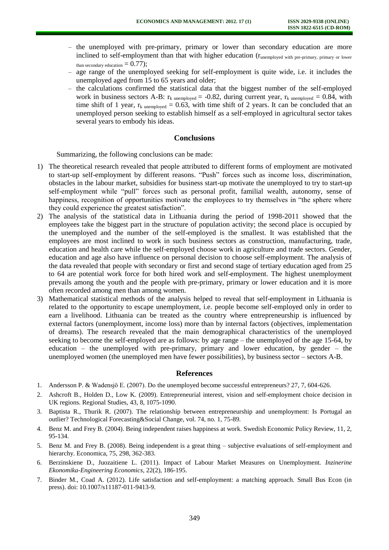- the unemployed with pre-primary, primary or lower than secondary education are more inclined to self-employment than that with higher education (runemployed with pre-primary, primary or lower than secondary education  $= 0.77$ );
- age range of the unemployed seeking for self-employment is quite wide, i.e. it includes the unemployed aged from 15 to 65 years and older;
- the calculations confirmed the statistical data that the biggest number of the self-employed work in business sectors A-B:  $r_k$  unemployed = -0.82, during current year,  $r_k$  unemployed = 0.84, with time shift of 1 year,  $r_k$  unemployed = 0.63, with time shift of 2 years. It can be concluded that an unemployed person seeking to establish himself as a self-employed in agricultural sector takes several years to embody his ideas.

#### **Conclusions**

Summarizing, the following conclusions can be made:

- 1) The theoretical research revealed that people attributed to different forms of employment are motivated to start-up self-employment by different reasons. "Push" forces such as income loss, discrimination, obstacles in the labour market, subsidies for business start-up motivate the unemployed to try to start-up self-employment while "pull" forces such as personal profit, familial wealth, autonomy, sense of happiness, recognition of opportunities motivate the employees to try themselves in "the sphere where they could experience the greatest satisfaction".
- 2) The analysis of the statistical data in Lithuania during the period of 1998-2011 showed that the employees take the biggest part in the structure of population activity; the second place is occupied by the unemployed and the number of the self-employed is the smallest. It was established that the employees are most inclined to work in such business sectors as construction, manufacturing, trade, education and health care while the self-employed choose work in agriculture and trade sectors. Gender, education and age also have influence on personal decision to choose self-employment. The analysis of the data revealed that people with secondary or first and second stage of tertiary education aged from 25 to 64 are potential work force for both hired work and self-employment. The highest unemployment prevails among the youth and the people with pre-primary, primary or lower education and it is more often recorded among men than among women.
- 3) Mathematical statistical methods of the analysis helped to reveal that self-employment in Lithuania is related to the opportunity to escape unemployment, i.e. people become self-employed only in order to earn a livelihood. Lithuania can be treated as the country where entrepreneurship is influenced by external factors (unemployment, income loss) more than by internal factors (objectives, implementation of dreams). The research revealed that the main demographical characteristics of the unemployed seeking to become the self-employed are as follows: by age range – the unemployed of the age 15-64, by education – the unemployed with pre-primary, primary and lower education, by gender – the unemployed women (the unemployed men have fewer possibilities), by business sector – sectors A-B.

#### **References**

- 1. Andersson P. & Wadensjö E. (2007). Do the unemployed become successful entrepreneurs? 27, 7, 604-626.
- 2. Ashcroft B., Holden D., Low K. (2009). Entrepreneurial interest, vision and self-employment choice decision in UK regions. Regional Studies, 43, 8, 1075-1090.
- 3. Baptista R., Thurik R. (2007). The relationship between entrepreneurship and unemployment: Is Portugal an outlier? Technological Forecasting&Social Change, vol. 74, no. 1, 75-89.
- 4. Benz M. and Frey B. (2004). Being independent raises happiness at work. Swedish Economic Policy Review, 11, 2, 95-134.
- 5. Benz M. and Frey B. (2008). Being independent is a great thing subjective evaluations of self-employment and hierarchy. Economica, 75, 298, 362-383.
- 6. Berzinskiene D., Juozaitiene L. (2011). Impact of Labour Market Measures on Unemployment. *Inzinerine Ekonomika-Engineering Economics*, 22(2), 186-195.
- 7. Binder M., Coad A. (2012). Life satisfaction and self-employment: a matching approach. Small Bus Econ (in press). doi: 10.1007/s11187-011-9413-9.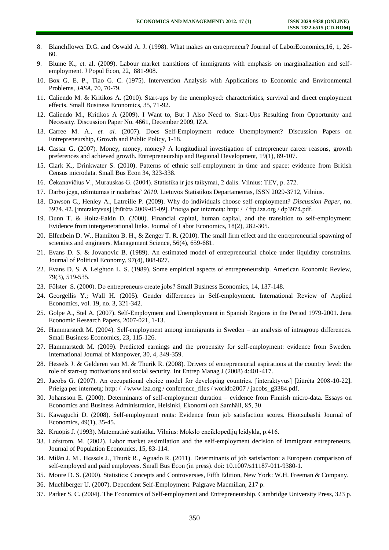- 8. Blanchflower D.G. and Oswald A. J. (1998). What makes an entrepreneur? Journal of LaborEconomics,16, 1, 26- 60.
- 9. Blume K., et. al. (2009). Labour market transitions of immigrants with emphasis on marginalization and selfemployment. J Popul Econ, 22, 881-908.
- 10. Box G. E. P., Tiao G. C. (1975). Intervention Analysis with Applications to Economic and Environmental Problems, *JASA*, 70, 70-79.
- 11. Caliendo M. & Kritikos A. (2010). Start-ups by the unemployed: characteristics, survival and direct employment effects. Small Business Economics, 35, 71-92.
- 12. Caliendo M., Kritikos A (2009). I Want to, But I Also Need to. Start-Ups Resulting from Opportunity and Necessity. Discussion Paper No. 4661, December 2009, IZA.
- 13. Carree M. A., *et. al.* (2007). Does Self-Employment reduce Unemployment? Discussion Papers on Entrepreneurship, Growth and Public Policy, 1-18.
- 14. Cassar G. (2007). Money, money, money? A longitudinal investigation of entrepreneur career reasons, growth preferences and achieved growth. Entrepreneurship and Regional Development, 19(1), 89-107.
- 15. Clark K., Drinkwater S. (2010). Patterns of ethnic self-employment in time and space: evidence from British Census microdata. Small Bus Econ 34, 323-338.
- 16. Čekanavičius V., Murauskas G. (2004). Statistika ir jos taikymai, 2 dalis. Vilnius: TEV, p. 272.
- 17. Darbo jėga, užimtumas ir nedarbas' *2010*. Lietuvos Statistikos Departamentas, ISSN 2029-3712, Vilnius.
- 18. Dawson C., Henley A., Latreille P. (2009). Why do individuals choose self-employment? *Discussion Paper*, no. 3974, 42. [interaktyvus] [žiūrėta 2009-05-09]. Prieiga per internetą: [http: / / ftp.iza.org / dp3974.pdf.](http://ftp.iza.org/dp3974.pdf)
- 19. Dunn T. & Holtz-Eakin D. (2000). Financial capital, human capital, and the transition to self-employment: Evidence from intergenerational links. Journal of Labor Economics, 18(2), 282-305.
- 20. Elfenbein D. W., Hamilton B. H., & Zenger T. R. (2010). The small firm effect and the entrepreneurial spawning of scientists and engineers. Management Science, 56(4), 659-681.
- 21. Evans D. S. & Jovanovic B. (1989). An estimated model of entrepreneurial choice under liquidity constraints. Journal of Political Economy, 97(4), 808-827.
- 22. Evans D. S. & Leighton L. S. (1989). Some empirical aspects of entrepreneurship. American Economic Review, 79(3), 519-535.
- 23. Fölster S. (2000). Do entrepreneurs create jobs? Small Business Economics, 14, 137-148.
- 24. Georgellis Y.; Wall H. (2005). Gender differences in Self-employment. International Review of Applied Economics, vol. 19, no. 3, 321-342.
- 25. Golpe A., Stel A. (2007). Self-Employment and Unemployment in Spanish Regions in the Period 1979-2001. Jena Economic Research Papers, 2007-021, 1-13.
- 26. Hammarstedt M. (2004). Self-employment among immigrants in Sweden an analysis of intragroup differences. Small Business Economics, 23, 115-126.
- 27. Hammarstedt M. (2009). Predicted earnings and the propensity for self-employment: evidence from Sweden. International Journal of Manpower, 30, 4, 349-359.
- 28. Hessels J. & Gelderen van M. & Thurik R. (2008). Drivers of entrepreneurial aspirations at the country level: the role of start-up motivations and social security. Int Entrep Manag J (2008) 4:401-417.
- 29. Jacobs G. (2007). An occupational choice model for developing countries. [interaktyvus] [žiūrėta 2008-10-22]. Prieiga per interneta: http://www.iza.org/conference\_files/worldb2007/jacobs\_g3384.pdf.
- 30. Johansson E. (2000). Determinants of self-employment duration evidence from Finnish micro-data. Essays on Economics and Business Administration, Helsinki, Ekonomi och Samhäll, 85, 30.
- 31. Kawaguchi D. (2008). Self-employment rents: Evidence from job satisfaction scores. Hitotsubashi Journal of Economics, 49(1), 35-45.
- 32. Kruopis J. (1993). Matematinė statistika. Vilnius: Mokslo enciklopedijų leidykla, p.416.
- 33. Lofstrom, M. (2002). Labor market assimilation and the self-employment decision of immigrant entrepreneurs. Journal of Population Economics, 15, 83-114.
- 34. Milán J. M., Hessels J., Thurik R., Aguado R. (2011). Determinants of job satisfaction: a European comparison of self-employed and paid employees. Small Bus Econ (in press). doi: 10.1007/s11187-011-9380-1.
- 35. Moore D. S. (2000). Statistics: Concepts and Controversies, Fifth Edition, New York: W.H. Freeman & Company.
- 36. Muehlberger U. (2007). Dependent Self-Employment. Palgrave Macmillan, 217 p.
- 37. Parker S. C. (2004). The Economics of Self-employment and Entrepreneurship. Cambridge University Press, 323 p.